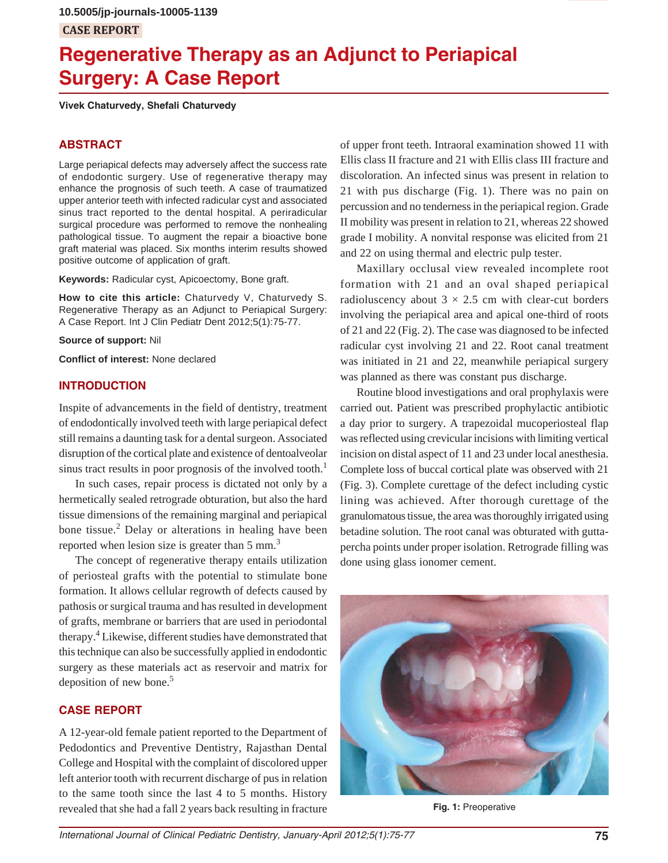# **Regenerative Therapy as an Adjunct to Periapical Surgery: A Case Report**

**Vivek Chaturvedy, Shefali Chaturvedy**

### **ABSTRACT**

Large periapical defects may adversely affect the success rate of endodontic surgery. Use of regenerative therapy may enhance the prognosis of such teeth. A case of traumatized upper anterior teeth with infected radicular cyst and associated sinus tract reported to the dental hospital. A periradicular surgical procedure was performed to remove the nonhealing pathological tissue. To augment the repair a bioactive bone graft material was placed. Six months interim results showed positive outcome of application of graft.

**Keywords:** Radicular cyst, Apicoectomy, Bone graft.

**How to cite this article:** Chaturvedy V, Chaturvedy S. Regenerative Therapy as an Adjunct to Periapical Surgery: A Case Report. Int J Clin Pediatr Dent 2012;5(1):75-77.

**Source of support:** Nil

**Conflict of interest:** None declared

#### **INTRODUCTION**

Inspite of advancements in the field of dentistry, treatment of endodontically involved teeth with large periapical defect still remains a daunting task for a dental surgeon. Associated disruption of the cortical plate and existence of dentoalveolar sinus tract results in poor prognosis of the involved tooth.<sup>1</sup>

In such cases, repair process is dictated not only by a hermetically sealed retrograde obturation, but also the hard tissue dimensions of the remaining marginal and periapical bone tissue.<sup>2</sup> Delay or alterations in healing have been reported when lesion size is greater than 5 mm.<sup>3</sup>

The concept of regenerative therapy entails utilization of periosteal grafts with the potential to stimulate bone formation. It allows cellular regrowth of defects caused by pathosis or surgical trauma and has resulted in development of grafts, membrane or barriers that are used in periodontal therapy.<sup>4</sup> Likewise, different studies have demonstrated that this technique can also be successfully applied in endodontic surgery as these materials act as reservoir and matrix for deposition of new bone.5

## **CASE REPORT**

A 12-year-old female patient reported to the Department of Pedodontics and Preventive Dentistry, Rajasthan Dental College and Hospital with the complaint of discolored upper left anterior tooth with recurrent discharge of pus in relation to the same tooth since the last 4 to 5 months. History revealed that she had a fall 2 years back resulting in fracture

of upper front teeth. Intraoral examination showed 11 with Ellis class II fracture and 21 with Ellis class III fracture and discoloration. An infected sinus was present in relation to 21 with pus discharge (Fig. 1). There was no pain on percussion and no tenderness in the periapical region. Grade II mobility was present in relation to 21, whereas 22 showed grade I mobility. A nonvital response was elicited from 21 and 22 on using thermal and electric pulp tester.

Maxillary occlusal view revealed incomplete root formation with 21 and an oval shaped periapical radioluscency about  $3 \times 2.5$  cm with clear-cut borders involving the periapical area and apical one-third of roots of 21 and 22 (Fig. 2). The case was diagnosed to be infected radicular cyst involving 21 and 22. Root canal treatment was initiated in 21 and 22, meanwhile periapical surgery was planned as there was constant pus discharge.

Routine blood investigations and oral prophylaxis were carried out. Patient was prescribed prophylactic antibiotic a day prior to surgery. A trapezoidal mucoperiosteal flap was reflected using crevicular incisions with limiting vertical incision on distal aspect of 11 and 23 under local anesthesia. Complete loss of buccal cortical plate was observed with 21 (Fig. 3). Complete curettage of the defect including cystic lining was achieved. After thorough curettage of the granulomatous tissue, the area was thoroughly irrigated using betadine solution. The root canal was obturated with guttapercha points under proper isolation. Retrograde filling was done using glass ionomer cement.



**Fig. 1:** Preoperative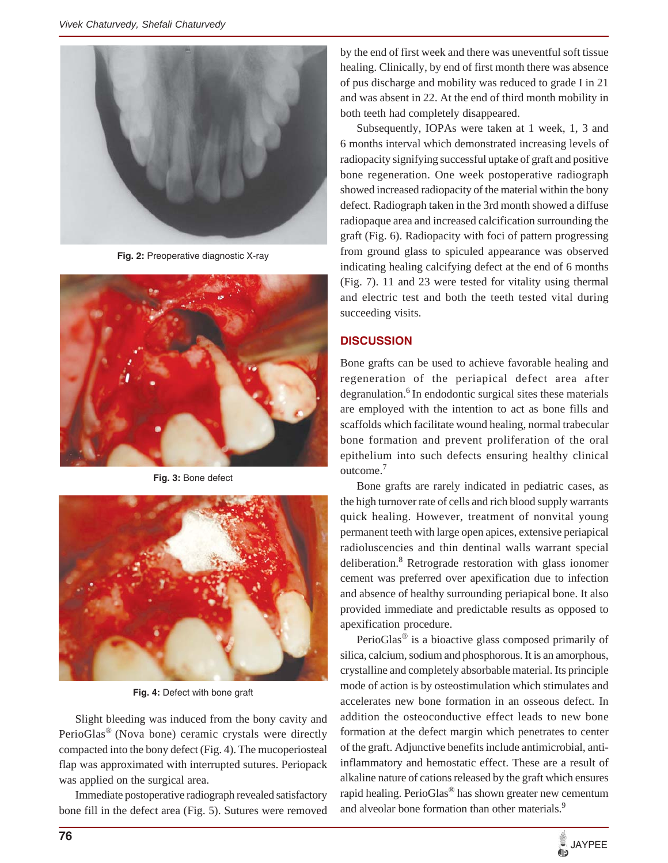

**Fig. 2:** Preoperative diagnostic X-ray



**Fig. 3:** Bone defect



**Fig. 4:** Defect with bone graft

Slight bleeding was induced from the bony cavity and PerioGlas® (Nova bone) ceramic crystals were directly compacted into the bony defect (Fig. 4). The mucoperiosteal flap was approximated with interrupted sutures. Periopack was applied on the surgical area.

Immediate postoperative radiograph revealed satisfactory bone fill in the defect area (Fig. 5). Sutures were removed by the end of first week and there was uneventful soft tissue healing. Clinically, by end of first month there was absence of pus discharge and mobility was reduced to grade I in 21 and was absent in 22. At the end of third month mobility in both teeth had completely disappeared.

Subsequently, IOPAs were taken at 1 week, 1, 3 and 6 months interval which demonstrated increasing levels of radiopacity signifying successful uptake of graft and positive bone regeneration. One week postoperative radiograph showed increased radiopacity of the material within the bony defect. Radiograph taken in the 3rd month showed a diffuse radiopaque area and increased calcification surrounding the graft (Fig. 6). Radiopacity with foci of pattern progressing from ground glass to spiculed appearance was observed indicating healing calcifying defect at the end of 6 months (Fig. 7). 11 and 23 were tested for vitality using thermal and electric test and both the teeth tested vital during succeeding visits.

## **DISCUSSION**

Bone grafts can be used to achieve favorable healing and regeneration of the periapical defect area after degranulation.<sup>6</sup> In endodontic surgical sites these materials are employed with the intention to act as bone fills and scaffolds which facilitate wound healing, normal trabecular bone formation and prevent proliferation of the oral epithelium into such defects ensuring healthy clinical outcome.7

Bone grafts are rarely indicated in pediatric cases, as the high turnover rate of cells and rich blood supply warrants quick healing. However, treatment of nonvital young permanent teeth with large open apices, extensive periapical radioluscencies and thin dentinal walls warrant special deliberation.<sup>8</sup> Retrograde restoration with glass ionomer cement was preferred over apexification due to infection and absence of healthy surrounding periapical bone. It also provided immediate and predictable results as opposed to apexification procedure.

PerioGlas® is a bioactive glass composed primarily of silica, calcium, sodium and phosphorous. It is an amorphous, crystalline and completely absorbable material. Its principle mode of action is by osteostimulation which stimulates and accelerates new bone formation in an osseous defect. In addition the osteoconductive effect leads to new bone formation at the defect margin which penetrates to center of the graft. Adjunctive benefits include antimicrobial, antiinflammatory and hemostatic effect. These are a result of alkaline nature of cations released by the graft which ensures rapid healing. PerioGlas® has shown greater new cementum and alveolar bone formation than other materials.<sup>9</sup>